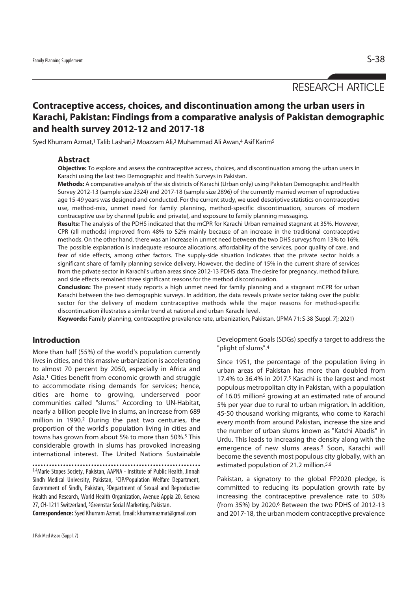# RESEARCH ARTICLE

# **Contraceptive access, choices, and discontinuation among the urban users in Karachi, Pakistan: Findings from a comparative analysis of Pakistan demographic and health survey 2012-12 and 2017-18**

Syed Khurram Azmat,<sup>1</sup> Talib Lashari,<sup>2</sup> Moazzam Ali,<sup>3</sup> Muhammad Ali Awan,<sup>4</sup> Asif Karim<sup>5</sup>

#### **Abstract**

**Objective:** To explore and assess the contraceptive access, choices, and discontinuation among the urban users in Karachi using the last two Demographic and Health Surveys in Pakistan.

**Methods:** A comparative analysis of the six districts of Karachi (Urban only) using Pakistan Demographic and Health Survey 2012-13 (sample size 2324) and 2017-18 (sample size 2896) of the currently married women of reproductive age 15-49 years was designed and conducted. For the current study, we used descriptive statistics on contraceptive use, method-mix, unmet need for family planning, method-specific discontinuation, sources of modern contraceptive use by channel (public and private), and exposure to family planning messaging.

**Results:** The analysis of the PDHS indicated that the mCPR for Karachi Urban remained stagnant at 35%. However, CPR (all methods) improved from 48% to 52% mainly because of an increase in the traditional contraceptive methods. On the other hand, there was an increase in unmet need between the two DHS surveys from 13% to 16%. The possible explanation is inadequate resource allocations, affordability of the services, poor quality of care, and fear of side effects, among other factors. The supply-side situation indicates that the private sector holds a significant share of family planning service delivery. However, the decline of 15% in the current share of services from the private sector in Karachi's urban areas since 2012-13 PDHS data. The desire for pregnancy, method failure, and side effects remained three significant reasons for the method discontinuation.

**Conclusion:** The present study reports a high unmet need for family planning and a stagnant mCPR for urban Karachi between the two demographic surveys. In addition, the data reveals private sector taking over the public sector for the delivery of modern contraceptive methods while the major reasons for method-specific discontinuation illustrates a similar trend at national and urban Karachi level.

"plight of slums".4

**Keywords:** Family planning, contraceptive prevalence rate, urbanization, Pakistan. (JPMA 71: S-38 [Suppl. 7]; 2021)

### **Introduction**

More than half (55%) of the world's population currently lives in cities, and this massive urbanization is accelerating to almost 70 percent by 2050, especially in Africa and Asia.1 Cities benefit from economic growth and struggle to accommodate rising demands for services; hence, cities are home to growing, underserved poor communities called "slums." According to UN-Habitat, nearly a billion people live in slums, an increase from 689 million in 1990.2 During the past two centuries, the proportion of the world's population living in cities and towns has grown from about 5% to more than 50%.3 This considerable growth in slums has provoked increasing international interest. The United Nations Sustainable

1,4Marie Stopes Society, Pakistan, AAPNA - Institute of Public Health, Jinnah Sindh Medical University, Pakistan, 2CIP/Population Welfare Department, Government of Sindh, Pakistan, 3Department of Sexual and Reproductive Health and Research, World Health Organization, Avenue Appia 20, Geneva 27, CH-1211 Switzerland, 5Greenstar Social Marketing, Pakistan.

**Correspondence:** Syed Khurram Azmat. Email: khurramazmat@gmail.com

committed to reducing its population growth rate by increasing the contraceptive prevalence rate to 50%

(from 35%) by 2020.6 Between the two PDHS of 2012-13 and 2017-18, the urban modern contraceptive prevalence

estimated population of 21.2 million.<sup>5,6</sup>

Development Goals (SDGs) specify a target to address the

Since 1951, the percentage of the population living in urban areas of Pakistan has more than doubled from 17.4% to 36.4% in 2017.5 Karachi is the largest and most populous metropolitan city in Pakistan, with a population of 16.05 million<sup>5</sup> growing at an estimated rate of around 5% per year due to rural to urban migration. In addition, 45-50 thousand working migrants, who come to Karachi every month from around Pakistan, increase the size and the number of urban slums known as "Katchi Abadis" in Urdu. This leads to increasing the density along with the emergence of new slums areas.<sup>5</sup> Soon, Karachi will become the seventh most populous city globally, with an

Pakistan, a signatory to the global FP2020 pledge, is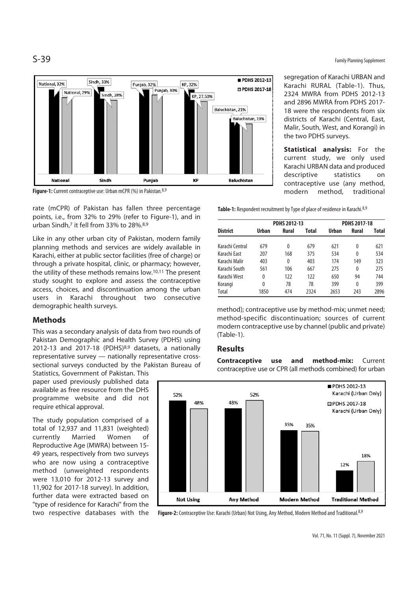

**Figure-1:** Current contraceptive use: Urban mCPR (%) in Pakistan.<sup>8,9</sup>

rate (mCPR) of Pakistan has fallen three percentage points, i.e., from 32% to 29% (refer to Figure-1), and in urban Sindh,7 it fell from 33% to 28%.8,9

Like in any other urban city of Pakistan, modern family planning methods and services are widely available in Karachi, either at public sector facilities (free of charge) or through a private hospital, clinic, or pharmacy; however, the utility of these methods remains low.10,11 The present study sought to explore and assess the contraceptive access, choices, and discontinuation among the urban users in Karachi throughout two consecutive demographic health surveys.

## **Methods**

This was a secondary analysis of data from two rounds of Pakistan Demographic and Health Survey (PDHS) using 2012-13 and 2017-18 (PDHS)8,9 datasets, a nationally representative survey — nationally representative crosssectional surveys conducted by the Pakistan Bureau of

Statistics, Government of Pakistan. This paper used previously published data available as free resource from the DHS programme website and did not require ethical approval.

The study population comprised of a total of 12,937 and 11,831 (weighted) currently Married Women of Reproductive Age (MWRA) between 15- 49 years, respectively from two surveys who are now using a contraceptive method (unweighted respondents were 13,010 for 2012-13 survey and 11,902 for 2017-18 survey). In addition, further data were extracted based on "type of residence for Karachi" from the two respective databases with the

S-39 Family Planning Supplement

segregation of Karachi URBAN and Karachi RURAL (Table-1). Thus, 2324 MWRA from PDHS 2012-13 and 2896 MWRA from PDHS 2017- 18 were the respondents from six districts of Karachi (Central, East, Malir, South, West, and Korangi) in the two PDHS surveys.

**Statistical analysis:** For the current study, we only used Karachi URBAN data and produced descriptive statistics on contraceptive use (any method, modern method, traditional

**Table-1:** Respondent recruitment by Type of place of residence in Karachi.<sup>8,9</sup>

|                 | <b>PDHS 2012-13</b> |       |       | <b>PDHS 2017-18</b> |              |       |
|-----------------|---------------------|-------|-------|---------------------|--------------|-------|
| <b>District</b> | Urban               | Rural | Total | Urban               | Rural        | Total |
| Karachi Central | 679                 | 0     | 679   | 621                 | 0            | 621   |
| Karachi Fast    | 207                 | 168   | 375   | 534                 | 0            | 534   |
| Karachi Malir   | 403                 | 0     | 403   | 174                 | 149          | 323   |
| Karachi South   | 561                 | 106   | 667   | 275                 | 0            | 275   |
| Karachi West    | 0                   | 122   | 122   | 650                 | 94           | 744   |
| Korangi         | 0                   | 78    | 78    | 399                 | $\mathbf{0}$ | 399   |
| Total           | 1850                | 474   | 2324  | 2653                | 243          | 2896  |

method); contraceptive use by method-mix; unmet need; method-specific discontinuation; sources of current modern contraceptive use by channel (public and private) (Table-1).

### **Results**

**Contraceptive use and method-mix:** Current contraceptive use or CPR (all methods combined) for urban



Figure-2: Contraceptive Use: Karachi (Urban) Not Using, Any Method, Modern Method and Traditional. 8,9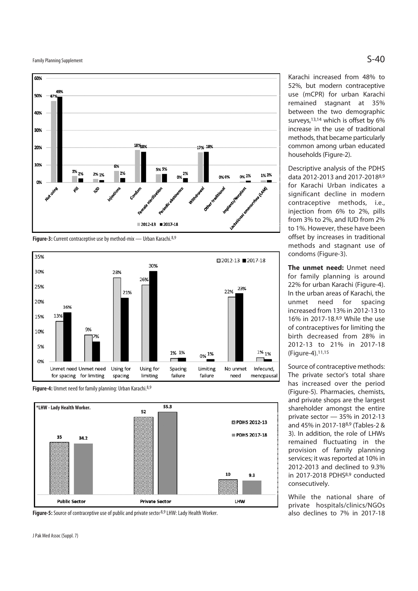Family Planning Supplement  $\mathsf{S\text{-}40}$ 







**Figure-4:** Unmet need for family planning: Urban Karachi.8,9



Figure-5: Source of contraceptive use of public and private sector<sup>8,9</sup> LHW: Lady Health Worker.

Karachi increased from 48% to 52%, but modern contraceptive use (mCPR) for urban Karachi remained stagnant at 35% between the two demographic surveys,13,14 which is offset by 6% increase in the use of traditional methods, that became particularly common among urban educated households (Figure-2).

Descriptive analysis of the PDHS data 2012-2013 and 2017-20188,9 for Karachi Urban indicates a significant decline in modern contraceptive methods, i.e., injection from 6% to 2%, pills from 3% to 2%, and IUD from 2% to 1%. However, these have been offset by increases in traditional methods and stagnant use of condoms (Figure-3).

**The unmet need:** Unmet need for family planning is around 22% for urban Karachi (Figure-4). In the urban areas of Karachi, the unmet need for spacing increased from 13% in 2012-13 to 16% in 2017-18.8,9 While the use of contraceptives for limiting the birth decreased from 28% in 2012-13 to 21% in 2017-18 (Figure-4).11,15

Source of contraceptive methods: The private sector's total share has increased over the period (Figure-5). Pharmacies, chemists, and private shops are the largest shareholder amongst the entire private sector — 35% in 2012-13 and 45% in 2017-188,9 (Tables-2 & 3). In addition, the role of LHWs remained fluctuating in the provision of family planning services; it was reported at 10% in 2012-2013 and declined to 9.3% in 2017-2018 PDHS8,9 conducted consecutively.

While the national share of private hospitals/clinics/NGOs also declines to 7% in 2017-18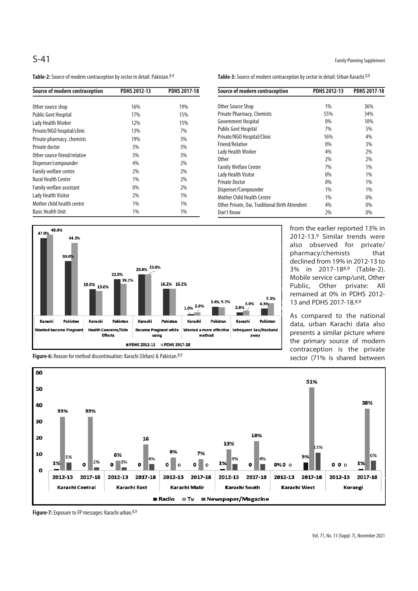Table-2: Source of modern contraception by sector in detail: Pakistan.<sup>8,9</sup>

|      | <b>Table-3:</b> Source of modern contraception by sector in detail: Urban Karachi. <sup>8,9</sup> |                     |                     |
|------|---------------------------------------------------------------------------------------------------|---------------------|---------------------|
| 7-18 | Source of modern contraception                                                                    | <b>PDHS 2012-13</b> | <b>PDHS 2017-18</b> |

Mother Child Health Centre

Other Source Shop 1% 36% Private Pharmacy, Chemists 55% 55% 34% Government Hospital 0% 10% Public Govt Hospital 600 5% Private/NGO Hospital/Clinic 16% 16% 4% Friend/Relative 3% 3% Lady Health Worker 2% 29% Other 2% 2% Family Welfare Centre **1%** 1% Lady Health Visitor **1% 120 and 140 and 140 and 140 and 140 and 140 and 140 and 140 and 140 and 140 and 140 and 140 and 140 and 140 and 140 and 140 and 140 and 140 and 140 and 140 and 140 and 140 and 140 and 140 and 140 an** Private Doctor 0% 1% Dispenser/Compounder 1% 1%

Other Private, Dai, Traditional Birth Attendent 4% 0% Don't Know 2% 0%

| Source of modern contraception | <b>PDHS 2012-13</b> | <b>PDHS 2017-18</b> |  |
|--------------------------------|---------------------|---------------------|--|
|                                |                     |                     |  |
| Other source shop              | 16%                 | 19%                 |  |
| <b>Public Govt Hospital</b>    | 17%                 | 15%                 |  |
| Lady Health Worker             | 12%                 | 15%                 |  |
| Private/NGO hospital/clinic    | 13%                 | 7%                  |  |
| Private pharmacy, chemists     | 19%                 | 3%                  |  |
| Private doctor                 | 3%                  | 3%                  |  |
| Other source friend/relative   | 3%                  | 3%                  |  |
| Dispenser/compounder           | 4%                  | 2%                  |  |
| <b>Family welfare centre</b>   | 2%                  | 2%                  |  |
| <b>Rural Health Centre</b>     | 1%                  | 2%                  |  |
| Family welfare assistant       | 0%                  | 2%                  |  |
| Lady Health Visitor            | 2%                  | 1%                  |  |
| Mother child health centre     | 1%                  | 1%                  |  |
| <b>Basic Health Unit</b>       | 1%                  | 1%                  |  |



from the earlier reported 13% in 2012-13.9 Similar trends were also observed for private/ pharmacy/chemists that declined from 19% in 2012-13 to 3% in 2017-188,9 (Table-2). Mobile service camp/unit, Other Public, Other private: All remained at 0% in PDHS 2012- 13 and PDHS 2017-18.8,9

As compared to the national data, urban Karachi data also presents a similar picture where the primary source of modern contraception is the private sector (71% is shared between



**Figure-7:** Exposure to FP messages: Karachi urban.8,9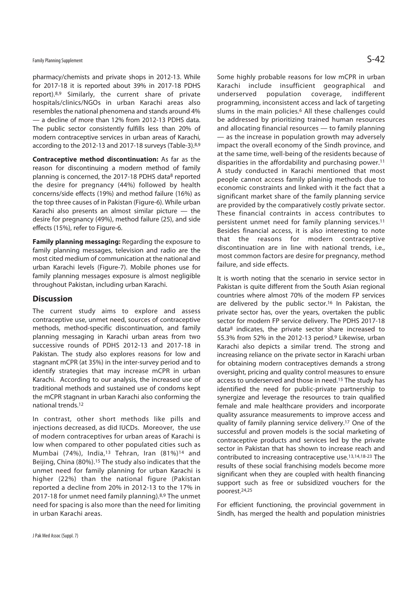pharmacy/chemists and private shops in 2012-13. While for 2017-18 it is reported about 39% in 2017-18 PDHS report).8,9 Similarly, the current share of private hospitals/clinics/NGOs in urban Karachi areas also resembles the national phenomena and stands around 4% — a decline of more than 12% from 2012-13 PDHS data. The public sector consistently fulfills less than 20% of modern contraceptive services in urban areas of Karachi, according to the 2012-13 and 2017-18 surveys (Table-3).8,9

**Contraceptive method discontinuation:** As far as the reason for discontinuing a modern method of family planning is concerned, the 2017-18 PDHS data<sup>8</sup> reported the desire for pregnancy (44%) followed by health concerns/side effects (19%) and method failure (16%) as the top three causes of in Pakistan (Figure-6). While urban Karachi also presents an almost similar picture — the desire for pregnancy (49%), method failure (25), and side effects (15%), refer to Figure-6.

**Family planning messaging:** Regarding the exposure to family planning messages, television and radio are the most cited medium of communication at the national and urban Karachi levels (Figure-7). Mobile phones use for family planning messages exposure is almost negligible throughout Pakistan, including urban Karachi.

### **Discussion**

The current study aims to explore and assess contraceptive use, unmet need, sources of contraceptive methods, method-specific discontinuation, and family planning messaging in Karachi urban areas from two successive rounds of PDHS 2012-13 and 2017-18 in Pakistan. The study also explores reasons for low and stagnant mCPR (at 35%) in the inter-survey period and to identify strategies that may increase mCPR in urban Karachi. According to our analysis, the increased use of traditional methods and sustained use of condoms kept the mCPR stagnant in urban Karachi also conforming the national trends.12

In contrast, other short methods like pills and injections decreased, as did IUCDs. Moreover, the use of modern contraceptives for urban areas of Karachi is low when compared to other populated cities such as Mumbai (74%), India,13 Tehran, Iran (81%)14 and Beijing, China (80%).15 The study also indicates that the unmet need for family planning for urban Karachi is higher (22%) than the national figure (Pakistan reported a decline from 20% in 2012-13 to the 17% in 2017-18 for unmet need family planning).8,9 The unmet need for spacing is also more than the need for limiting in urban Karachi areas.

Some highly probable reasons for low mCPR in urban Karachi include insufficient geographical and underserved population coverage, indifferent programming, inconsistent access and lack of targeting slums in the main policies.<sup>6</sup> All these challenges could be addressed by prioritizing trained human resources and allocating financial resources — to family planning — as the increase in population growth may adversely impact the overall economy of the Sindh province, and at the same time, well-being of the residents because of disparities in the affordability and purchasing power.11 A study conducted in Karachi mentioned that most people cannot access family planinig methods due to economic constraints and linked with it the fact that a significant market share of the family planning service are provided by the comparatively costly private sector. These financial contraints in access contributes to persistent unmet need for family planning services.<sup>11</sup> Besides financial access, it is also interesting to note that the reasons for modern contraceptive discontinuation are in line with national trends, i.e., most common factors are desire for pregnancy, method failure, and side effects.

It is worth noting that the scenario in service sector in Pakistan is quite different from the South Asian regional countries where almost 70% of the modern FP services are delivered by the public sector.<sup>16</sup> In Pakistan, the private sector has, over the years, overtaken the public sector for modern FP service delivery. The PDHS 2017-18 data8 indicates, the private sector share increased to 55.3% from 52% in the 2012-13 period.9 Likewise, urban Karachi also depicts a similar trend. The strong and increasing reliance on the private sector in Karachi urban for obtaining modern contraceptives demands a strong oversight, pricing and quality control measures to ensure access to underserved and those in need.15 The study has identified the need for public-private partnership to synergize and leverage the resources to train qualified female and male healthcare providers and incorporate quality assurance measurements to improve access and quality of family planning service delivery.17 One of the successful and proven models is the social marketing of contraceptive products and services led by the private sector in Pakistan that has shown to increase reach and contributed to increasing contraceptive use.13,14,18-23 The results of these social franchising models become more significant when they are coupled with health financing support such as free or subsidized vouchers for the poorest.24,25

For efficient functioning, the provincial government in Sindh, has merged the health and population ministries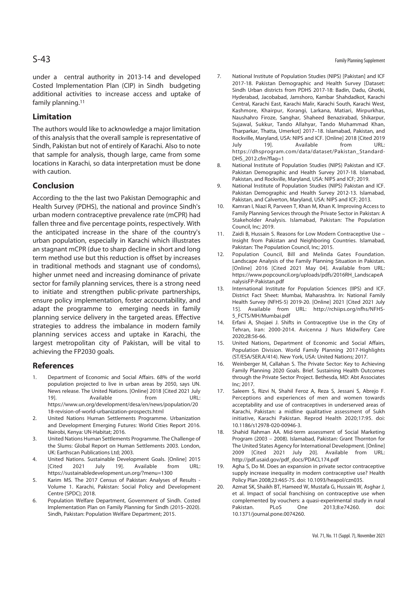under a central authority in 2013-14 and developed Costed Implementation Plan (CIP) in Sindh budgeting additional activities to increase access and uptake of family planning.11

## **Limitation**

The authors would like to acknowledge a major limitation of this analysis that the overall sample is representative of Sindh, Pakistan but not of entirely of Karachi. Also to note that sample for analysis, though large, came from some locations in Karachi, so data interpretation must be done with caution.

## **Conclusion**

According to the the last two Pakistan Demographic and Health Survey (PDHS), the national and province Sindh's urban modern contraceptive prevalence rate (mCPR) had fallen three and five percentage points, respectively. With the anticipated increase in the share of the country's urban population, especially in Karachi which illustrates an stagnant mCPR (due to sharp decline in short and long term method use but this reduction is offset by increases in traditional methods and stagnant use of condoms), higher unmet need and increasing dominance of private sector for family planning services, there is a strong need to initiate and strengthen public-private partnerships, ensure policy implementation, foster accountability, and adapt the programme to emerging needs in family planning service delivery in the targeted areas. Effective strategies to address the imbalance in modern family planning services access and uptake in Karachi, the largest metropolitan city of Pakistan, will be vital to achieving the FP2030 goals.

#### **References**

- 1. Department of Economic and Social Affairs. 68% of the world population projected to live in urban areas by 2050, says UN. News release. The United Nations. [Online] 2018 [Cited 2021 July 19]. Available from URL: https://www.un.org/development/desa/en/news/population/20 18-revision-of-world-urbanization-prospects.html
- 2. United Nations Human Settlements Programme. Urbanization and Development Emerging Futures: World Cities Report 2016. Nairobi, Kenya: UN-Habitat; 2016.
- 3. United Nations Human Settlements Programme. The Challenge of the Slums: Global Report on Human Settlements 2003. London, UK: Earthscan Publications Ltd; 2003.
- 4. United Nations. Sustainable Development Goals. [Online] 2015<br>[Cited 2021 July 19]. Available from URL: [Cited 2021 July 19]. Available from URL: https://sustainabledevelopment.un.org/?menu=1300
- 5. Karim MS. The 2017 Census of Pakistan: Analyses of Results Volume 1. Karachi, Pakistan: Social Policy and Development Centre (SPDC); 2018.
- 6. Population Welfare Department, Government of Sindh. Costed Implementation Plan on Family Planning for Sindh (2015–2020). Sindh, Pakistan: Population Welfare Department; 2015.
- 7. National Institute of Population Studies (NIPS) [Pakistan] and ICF 2017-18. Pakistan Demographic and Health Survey [Dataset: Sindh Urban districts from PDHS 2017-18: Badin, Dadu, Ghotki, Hyderabad, Jacobabad, Jamshoro, Kambar Shahdadkot, Karachi Central, Karachi East, Karachi Malir, Karachi South, Karachi West, Kashmore, Khairpur, Korangi, Larkana, Matiari, Mirpurkhas, Naushahro Firoze, Sanghar, Shaheed Benazirabad, Shikarpur, Sujawal, Sukkur, Tando Allahyar, Tando Muhammad Khan, Tharparkar, Thatta, Umerkot] 2017–18. Islamabad, Pakistan, and Rockville, Maryland, USA: NIPS and ICF. [Online] 2018 [Cited 2019 July 19]. Available from URL: https://dhsprogram.com/data/dataset/Pakistan\_Standard-DHS\_2012.cfm?flag=1
- 8. National Institute of Population Studies (NIPS) Pakistan and ICF. Pakistan Demographic and Health Survey 2017-18. Islamabad, Pakistan, and Rockville, Maryland, USA: NIPS and ICF; 2019.
- 9. National Institute of Population Studies (NIPS) Pakistan and ICF. Pakistan Demographic and Health Survey 2012-13. Islamabad, Pakistan, and Calverton, Maryland, USA: NIPS and ICF; 2013.
- 10. Kamran I, Niazi R, Parveen T, Khan M, Khan K. Improving Access to Family Planning Services through the Private Sector in Pakistan: A Stakeholder Analysis. Islamabad, Pakistan: The Population Council, Inc; 2019.
- 11. Zaidi B, Hussain S. Reasons for Low Modern Contraceptive Use Insight from Pakistan and Neighboring Countries. Islamabad, Pakistan: The Population Council, Inc; 2015.
- 12. Population Council, Bill and Melinda Gates Foundation. Landscape Analysis of the Family Planning Situation in Pakistan. [Online] 2016 [Cited 2021 May 04]. Available from URL: https://www.popcouncil.org/uploads/pdfs/2016RH\_LandscapeA nalysisFP-Pakistan.pdf
- 13. International Institute for Population Sciences (IIPS) and ICF. District Fact Sheet: Mumbai, Maharashtra. In: National Family Health Survey (NFHS-5) 2019-20. [Online] 2021 [Cited 2021 July 15]. Available from URL: http://rchiips.org/nfhs/NFHS-5\_FCTS/MH/Mumbai.pdf
- 14. Erfani A, Shojaei J. Shifts in Contraceptive Use in the City of Tehran, Iran: 2000-2014. Avicenna J Nurs Midwifery Care 2020;28:56-66.
- 15. United Nations, Department of Economic and Social Affairs, Population Division. World Family Planning 2017-Highlights (ST/ESA/SER.A/414). New York, USA: United Nations; 2017.
- 16. Weinberger M, Callahan S. The Private Sector: Key to Achieving Family Planning 2020 Goals. Brief. Sustaining Health Outcomes through the Private Sector Project. Bethesda, MD: Abt Associates Inc; 2017.
- 17. Saleem S, Rizvi N, Shahil Feroz A, Reza S, Jessani S, Abrejo F. Perceptions and experiences of men and women towards acceptability and use of contraceptives in underserved areas of Karachi, Pakistan: a midline qualitative assessment of Sukh initiative, Karachi Pakistan. Reprod Health 2020;17:95. doi: 10.1186/s12978-020-00946-3.
- 18. Shahid Rahman AA. Mid-term assessment of Social Marketing Program (2003 – 2008). Islamabad, Pakistan: Grant Thornton for The United States Agency for International Development. [Online] 2009 [Cited 2021 July 20]. Available from URL: http://pdf.usaid.gov/pdf\_docs/PDACL174.pdf
- 19. Agha S, Do M. Does an expansion in private sector contraceptive supply increase inequality in modern contraceptive use? Health Policy Plan 2008;23:465-75. doi: 10.1093/heapol/czn035.
- 20. Azmat SK, Shaikh BT, Hameed W, Mustafa G, Hussain W, Asghar J, et al. Impact of social franchising on contraceptive use when complemented by vouchers: a quasi-experimental study in rural Pakistan. PLoS One 2013;8:e74260. doi: 10.1371/journal.pone.0074260.